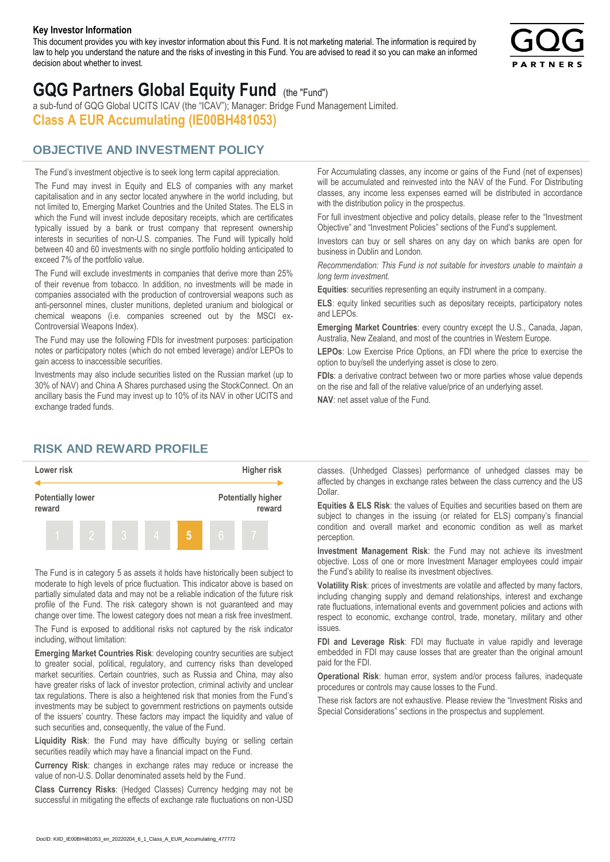#### **Key Investor Information**

This document provides you with key investor information about this Fund. It is not marketing material. The information is required by law to help you understand the nature and the risks of investing in this Fund. You are advised to read it so you can make an informed decision about whether to invest.



# **GQG Partners Global Equity Fund** (the "Fund")

a sub-fund of GQG Global UCITS ICAV (the "ICAV"); Manager: Bridge Fund Management Limited. **Class A EUR Accumulating (IE00BH481053)**

## **OBJECTIVE AND INVESTMENT POLICY**

The Fund's investment objective is to seek long term capital appreciation. The Fund may invest in Equity and ELS of companies with any market capitalisation and in any sector located anywhere in the world including, but not limited to, Emerging Market Countries and the United States. The ELS in which the Fund will invest include depositary receipts, which are certificates typically issued by a bank or trust company that represent ownership interests in securities of non-U.S. companies. The Fund will typically hold between 40 and 60 investments with no single portfolio holding anticipated to exceed 7% of the portfolio value.

The Fund will exclude investments in companies that derive more than 25% of their revenue from tobacco. In addition, no investments will be made in companies associated with the production of controversial weapons such as anti-personnel mines, cluster munitions, depleted uranium and biological or chemical weapons (i.e. companies screened out by the MSCI ex-Controversial Weapons Index).

The Fund may use the following FDIs for investment purposes: participation notes or participatory notes (which do not embed leverage) and/or LEPOs to gain access to inaccessible securities.

Investments may also include securities listed on the Russian market (up to 30% of NAV) and China A Shares purchased using the StockConnect. On an ancillary basis the Fund may invest up to 10% of its NAV in other UCITS and exchange traded funds.

For Accumulating classes, any income or gains of the Fund (net of expenses) will be accumulated and reinvested into the NAV of the Fund. For Distributing classes, any income less expenses earned will be distributed in accordance with the distribution policy in the prospectus.

For full investment objective and policy details, please refer to the "Investment Objective" and "Investment Policies" sections of the Fund's supplement.

Investors can buy or sell shares on any day on which banks are open for business in Dublin and London.

*Recommendation: This Fund is not suitable for investors unable to maintain a long term investment.*

**Equities**: securities representing an equity instrument in a company.

**ELS**: equity linked securities such as depositary receipts, participatory notes and LEPOs.

**Emerging Market Countries**: every country except the U.S., Canada, Japan, Australia, New Zealand, and most of the countries in Western Europe.

**LEPOs**: Low Exercise Price Options, an FDI where the price to exercise the option to buy/sell the underlying asset is close to zero.

**FDIs**: a derivative contract between two or more parties whose value depends on the rise and fall of the relative value/price of an underlying asset.

**NAV**: net asset value of the Fund.

### **RISK AND REWARD PROFILE**



The Fund is in category 5 as assets it holds have historically been subject to moderate to high levels of price fluctuation. This indicator above is based on partially simulated data and may not be a reliable indication of the future risk profile of the Fund. The risk category shown is not guaranteed and may change over time. The lowest category does not mean a risk free investment.

The Fund is exposed to additional risks not captured by the risk indicator including, without limitation:

**Emerging Market Countries Risk**: developing country securities are subject to greater social, political, regulatory, and currency risks than developed market securities. Certain countries, such as Russia and China, may also have greater risks of lack of investor protection, criminal activity and unclear tax regulations. There is also a heightened risk that monies from the Fund's investments may be subject to government restrictions on payments outside of the issuers' country. These factors may impact the liquidity and value of such securities and, consequently, the value of the Fund.

**Liquidity Risk**: the Fund may have difficulty buying or selling certain securities readily which may have a financial impact on the Fund.

**Currency Risk**: changes in exchange rates may reduce or increase the value of non-U.S. Dollar denominated assets held by the Fund.

**Class Currency Risks**: (Hedged Classes) Currency hedging may not be successful in mitigating the effects of exchange rate fluctuations on non-USD classes. (Unhedged Classes) performance of unhedged classes may be affected by changes in exchange rates between the class currency and the US Dollar.

**Equities & ELS Risk**: the values of Equities and securities based on them are subject to changes in the issuing (or related for ELS) company's financial condition and overall market and economic condition as well as market perception.

**Investment Management Risk**: the Fund may not achieve its investment objective. Loss of one or more Investment Manager employees could impair the Fund's ability to realise its investment objectives.

**Volatility Risk**: prices of investments are volatile and affected by many factors, including changing supply and demand relationships, interest and exchange rate fluctuations, international events and government policies and actions with respect to economic, exchange control, trade, monetary, military and other issues.

**FDI and Leverage Risk**: FDI may fluctuate in value rapidly and leverage embedded in FDI may cause losses that are greater than the original amount paid for the FDI.

**Operational Risk**: human error, system and/or process failures, inadequate procedures or controls may cause losses to the Fund.

These risk factors are not exhaustive. Please review the "Investment Risks and Special Considerations" sections in the prospectus and supplement.